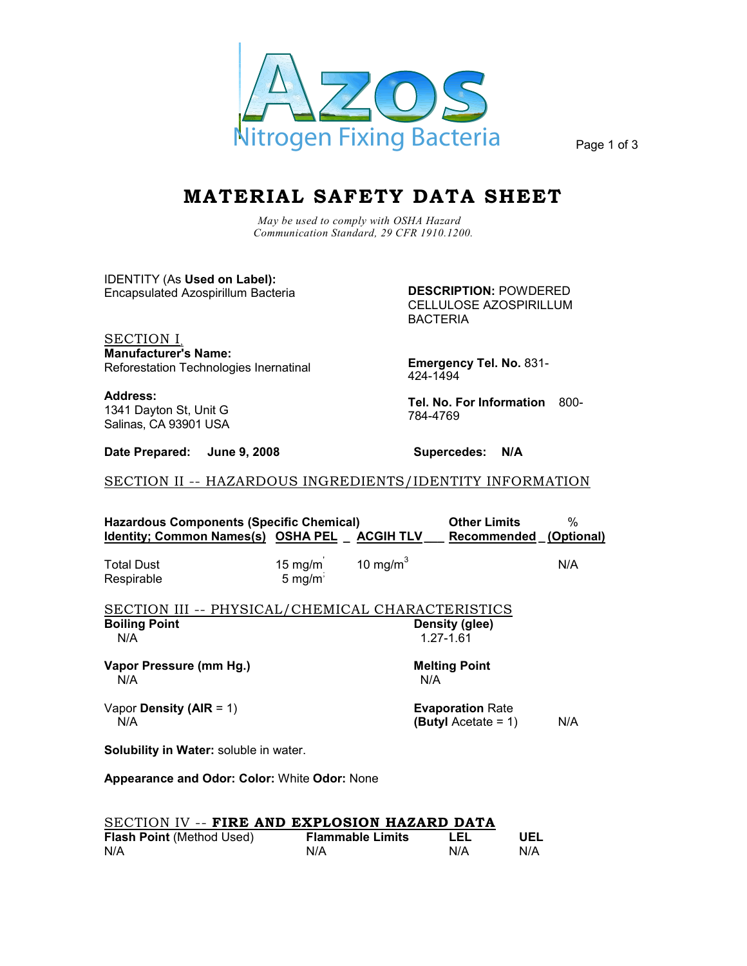

Page 1 of 3

## **MATERIAL SAFETY DATA SHEET**

*May be used to comply with OSHA Hazard Communication Standard, 29 CFR 1910.1200.*

IDENTITY (As **Used on Label):**  Encapsulated Azospirillum Bacteria

**DESCRIPTION:** POWDERED CELLULOSE AZOSPIRILLUM

**Manufacturer's Name:** SECTION I, Reforestation Technologies Inernatinal

**Address:** 1341 Dayton St, Unit G Salinas, CA 93901 USA

**Date Prepared: June 9, 2008 Supercedes: N/A** 

BACTERIA

**Emergency Tel. No.** 831- 424-1494

**Tel. No. For Information** 800- 784-4769

SECTION II -- HAZARDOUS INGREDIENTS/IDENTITY INFORMATION

| Hazardous Components (Specific Chemical)<br>Identity; Common Names(s) OSHA PEL ACGIH TLV |                                            |              | <b>Other Limits</b><br>Recommended (Optional)            | %   |  |  |
|------------------------------------------------------------------------------------------|--------------------------------------------|--------------|----------------------------------------------------------|-----|--|--|
| <b>Total Dust</b><br>Respirable                                                          | $15 \text{ mg/m}$<br>5 mg/m $\overline{S}$ | 10 mg/m $^3$ |                                                          | N/A |  |  |
| SECTION III -- PHYSICAL/CHEMICAL CHARACTERISTICS<br><b>Boiling Point</b><br>N/A          |                                            |              | Density (glee)<br>1.27-1.61                              |     |  |  |
| Vapor Pressure (mm Hg.)<br>N/A                                                           |                                            | N/A          | <b>Melting Point</b>                                     |     |  |  |
| Vapor Density (AIR = $1$ )<br>N/A                                                        |                                            |              | <b>Evaporation Rate</b><br><b>(Butyl</b> Acetate = $1$ ) | N/A |  |  |
| <b>Solubility in Water:</b> soluble in water.                                            |                                            |              |                                                          |     |  |  |
| <b>Appearance and Odor: Color: White Odor: None</b>                                      |                                            |              |                                                          |     |  |  |

| SECTION IV -- FIRE AND EXPLOSION HAZARD DATA |                         |     |     |
|----------------------------------------------|-------------------------|-----|-----|
| <b>Flash Point</b> (Method Used)             | <b>Flammable Limits</b> | LEL | UEL |
| N/A                                          | N/A                     | N/A | N/A |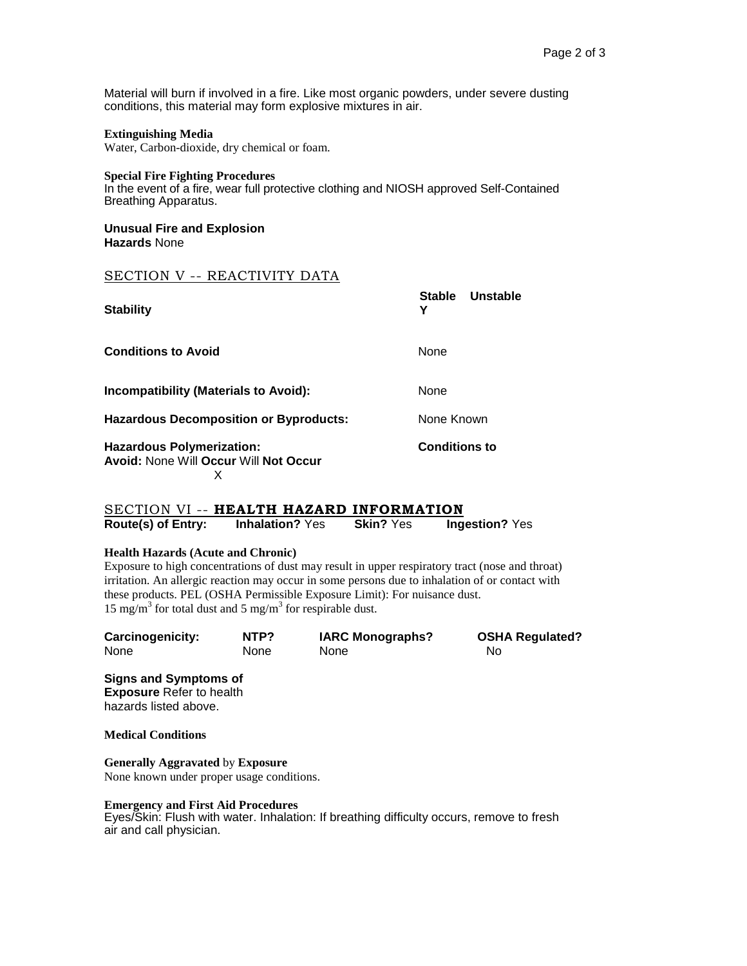Material will burn if involved in a fire. Like most organic powders, under severe dusting conditions, this material may form explosive mixtures in air.

## **Extinguishing Media**

Water, Carbon-dioxide, dry chemical or foam.

#### **Special Fire Fighting Procedures**

In the event of a fire, wear full protective clothing and NIOSH approved Self-Contained Breathing Apparatus.

#### **Unusual Fire and Explosion Hazards** None

## SECTION V -- REACTIVITY DATA

| <b>Stability</b>                                                                      | <b>Stable</b><br><b>Unstable</b><br>Υ |
|---------------------------------------------------------------------------------------|---------------------------------------|
| <b>Conditions to Avoid</b>                                                            | <b>None</b>                           |
| <b>Incompatibility (Materials to Avoid):</b>                                          | None                                  |
| <b>Hazardous Decomposition or Byproducts:</b>                                         | None Known                            |
| <b>Hazardous Polymerization:</b><br><b>Avoid: None Will Occur Will Not Occur</b><br>х | <b>Conditions to</b>                  |

## **Route(s) of Entry: Inhalation?** Yes **Skin?** Yes **Ingestion?** Yes SECTION VI -- **HEALTH HAZARD INFORMATION**

## **Health Hazards (Acute and Chronic)**

Exposure to high concentrations of dust may result in upper respiratory tract (nose and throat) irritation. An allergic reaction may occur in some persons due to inhalation of or contact with these products. PEL (OSHA Permissible Exposure Limit): For nuisance dust. 15 mg/m<sup>3</sup> for total dust and 5 mg/m<sup>3</sup> for respirable dust.

| Carcinogenicity: | NTP? | <b>IARC Monographs?</b> | <b>OSHA Regulated?</b> |
|------------------|------|-------------------------|------------------------|
| None             | None | None                    | No                     |

**Signs and Symptoms of Exposure** Refer to health hazards listed above.

**Medical Conditions**

**Generally Aggravated** by **Exposure** None known under proper usage conditions.

### **Emergency and First Aid Procedures**

Eyes/Skin: Flush with water. Inhalation: If breathing difficulty occurs, remove to fresh air and call physician.